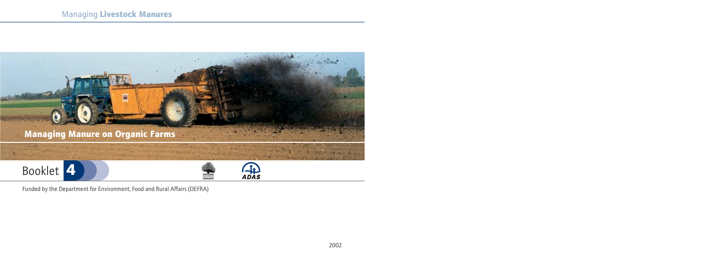

Funded by the Department for Environment, Food and Rural Affairs (DEFRA)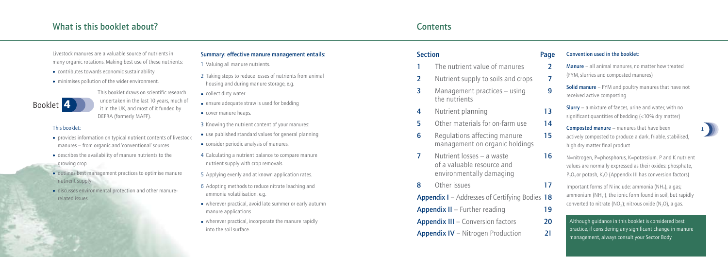### Summary: effective manure management entails:

1 Valuing all manure nutrients.

- 2 Taking steps to reduce losses of nutrients from animal housing and during manure storage, e.g.
- collect dirty water
- ensure adequate straw is used for bedding
- cover manure heaps.
- 3 Knowing the nutrient content of your manures:
- use published standard values for general planning
- consider periodic analysis of manures.
- 4 Calculating a nutrient balance to compare manure nutrient supply with crop removals.
- 5 Applying evenly and at known application rates.
- 6 Adopting methods to reduce nitrate leaching and ammonia volatilisation, e.g.
- wherever practical, avoid late summer or early autumn manure applications
- wherever practical, incorporate the manure rapidly into the soil surface.

### Section Page Page

- The nutrient value of manures Nutrient supply to soils and crops 7 Management practices – using  $9$ the nutrients Nutrient planning 13 Other materials for on-farm use 14 Manure – all animal manures, no matter how treated (FYM, slurries and composted manures) Solid manure – FYM and poultry manures that have not received active composting **Slurry** – a mixture of faeces, urine and water, with no significant quantities of bedding (<10% dry matter)
- Regulations affecting manure 15 management on organic holdings
- Nutrient losses a waste  $16$ of a valuable resource and environmentally damaging
- Other issues 17 Appendix I – Addresses of Certifying Bodies 18 Appendix II – Further reading 19
- Appendix III Conversion factors 20
- Appendix IV Nitrogen Production 21
- 
- 

## What is this booklet about? Contents

Livestock manures are a valuable source of nutrients in many organic rotations. Making best use of these nutrients:

- contributes towards economic sustainability
- minimises pollution of the wider environment.

This booklet draws on scientific research undertaken in the last 10 years, much of it in the UK, and most of it funded by DEFRA (formerly MAFF).

#### This booklet:

- Composted manure manures that have been actively composted to produce a dark, friable, stabilised, high dry matter final product
- N=nitrogen, P=phosphorus, K=potassium. P and K nutrient values are normally expressed as their oxides: phosphate,  $P_2O_5$  or potash, K<sub>2</sub>O (Appendix III has conversion factors)
- Important forms of N include: ammonia (NH $_3$ ), a gas; ammonium (NH $_4^*$ ), the ionic form found in soil, but rapidly converted to nitrate ( $NO<sub>3</sub>$ ); nitrous oxide ( $N<sub>2</sub>O$ ), a gas.
- provides information on typical nutrient contents of livestock manures – from organic and 'conventional' sources
- describes the availability of manure nutrients to the growing crop
- outlines best management practices to optimise manure nutrient supply
- discusses environmental protection and other manurerelated issues.



Although guidance in this booklet is considered best practice, if considering any significant change in manure management, always consult your Sector Body.

#### Convention used in the booklet:

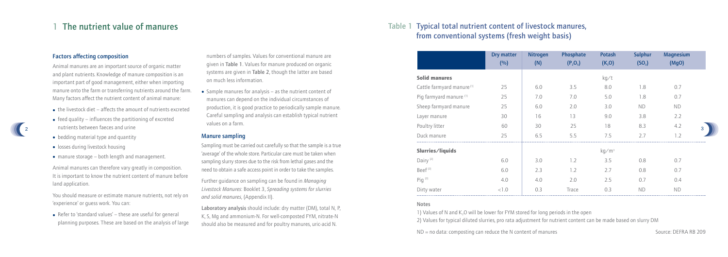2

#### Factors affecting composition

Animal manures are an important source of organic matter and plant nutrients. Knowledge of manure composition is an important part of good management, either when importing manure onto the farm or transferring nutrients around the farm. Many factors affect the nutrient content of animal manure:

- the livestock diet affects the amount of nutrients excreted
- $\bullet$  feed quality influences the partitioning of excreted nutrients between faeces and urine
- bedding material type and quantity
- losses during livestock housing

• manure storage – both length and management.

Animal manures can therefore vary greatly in composition. It is important to know the nutrient content of manure before land application.

You should measure or estimate manure nutrients, not rely on 'experience' or guess work. You can:

• Refer to 'standard values' – these are useful for general planning purposes. These are based on the analysis of large numbers of samples. Values for conventional manure are given in Table 1. Values for manure produced on organic systems are given in Table 2, though the latter are based on much less information.

## The nutrient value of manures Table 1 Typical total nutrient content of livestock manures, from conventional systems (fresh weight basis)

• Sample manures for analysis – as the nutrient content of manures can depend on the individual circumstances of production, it is good practice to periodically sample manure. Careful sampling and analysis can establish typical nutrient values on a farm.

#### Manure sampling

1) Values of N and  $K<sub>2</sub>O$  will be lower for FYM stored for long periods in the open 2) Values for typical diluted slurries, pro rata adjustment for nutrient content can be made based on slurry DM

 $ND = no data: composting can reduce the N content of manures$  Source: DEFRA RB 209

Sampling must be carried out carefully so that the sample is a true 'average' of the whole store. Particular care must be taken when sampling slurry stores due to the risk from lethal gases and the need to obtain a safe access point in order to take the samples.

Further guidance on sampling can be found in *Managing Livestock Manures*: Booklet 3, *Spreading systems for slurries and solid manures*, (Appendix II).

Laboratory analysis should include: dry matter (DM), total N, P, K, S, Mg and ammonium-N. For well-composted FYM, nitrate-N should also be measured and for poultry manures, uric-acid N.

|                                       | Dry matter<br>(%) | Nitrogen<br>(N) | Phosphate<br>$(P_2O_5)$ | Potash<br>(K <sub>2</sub> O) | <b>Sulphur</b><br>(SO <sub>3</sub> ) | <b>Magnesium</b><br>(MgO) |  |
|---------------------------------------|-------------------|-----------------|-------------------------|------------------------------|--------------------------------------|---------------------------|--|
| <b>Solid manures</b>                  |                   |                 |                         | kg/t                         |                                      |                           |  |
| Cattle farmyard manure <sup>(1)</sup> | 25                | 6.0             | 3.5                     | 8.0                          | 1.8                                  | 0.7                       |  |
| Pig farmyard manure <sup>(1)</sup>    | 25                | 7.0             | 7.0                     | 5.0                          | 1.8                                  | 0.7                       |  |
| Sheep farmyard manure                 | 25                | 6.0             | 2.0                     | 3.0                          | <b>ND</b>                            | <b>ND</b>                 |  |
| Layer manure                          | 30                | 16              | 13                      | 9.0                          | 3.8                                  | 2.2                       |  |
| Poultry litter                        | 60                | 30              | 25                      | 18                           | 8.3                                  | 4.2                       |  |
| Duck manure                           | 25                | 6.5             | 5.5                     | 7.5                          | 2.7                                  | 1.2                       |  |
| Slurries/liquids                      |                   |                 |                         | kg/m <sup>3</sup>            |                                      |                           |  |
| Dairy <sup>(2)</sup>                  | 6.0               | 3.0             | 1.2                     | 3.5                          | 0.8                                  | 0.7                       |  |
| Beef $(2)$                            | 6.0               | 2.3             | 1.2                     | 2.7                          | 0.8                                  | 0.7                       |  |
| Pig $^{(2)}$                          | 4.0               | 4.0             | 2.0                     | 2.5                          | 0.7                                  | 0.4                       |  |
| Dirty water                           | < 1.0             | 0.3             | Trace                   | 0.3                          | <b>ND</b>                            | <b>ND</b>                 |  |

#### Notes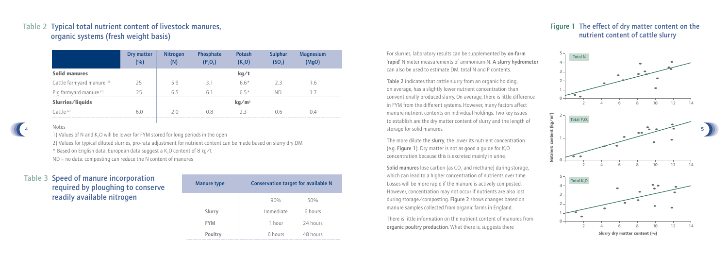For slurries, laboratory results can be supplemented by on-farm 'rapid' N meter measurements of ammonium-N. A slurry hydrometer can also be used to estimate DM, total N and P contents.

Table 2 indicates that cattle slurry from an organic holding, on average, has a slightly lower nutrient concentration than conventionally produced slurry. On average, there is little difference in FYM from the different systems. However, many factors affect manure nutrient contents on individual holdings. Two key issues to establish are the dry matter content of slurry and the length of storage for solid manures.

Solid manures lose carbon (as  $CO<sub>2</sub>$  and methane) during storage, which can lead to a higher concentration of nutrients over time. Losses will be more rapid if the manure is actively composted. However, concentration may not occur if nutrients are also lost during storage/composting. Figure 2 shows changes based on manure samples collected from organic farms in England.

The more dilute the slurry, the lower its nutrient concentration (e.g. Figure 1). Dry matter is not as good a guide for  $K_2O$ concentration because this is excreted mainly in urine.

There is little information on the nutrient content of manures from organic poultry production. What there is, suggests there

# nutrient content of cattle slurry







## Table 2 Typical total nutrient content of livestock manures, organic systems (fresh weight basis)

## Table 3 Speed of manure incorporation required by ploughing to conserve readily available nitrogen

|                                       | Dry matter<br>(%) | <b>Nitrogen</b><br>(N) | Phosphate<br>$(P_2O_5)$ | Potash<br>(K <sub>2</sub> O) | Sulphur<br>(SO <sub>3</sub> ) | <b>Magnesium</b><br>(MgO) |  |
|---------------------------------------|-------------------|------------------------|-------------------------|------------------------------|-------------------------------|---------------------------|--|
| Solid manures                         |                   |                        |                         | kg/t                         |                               |                           |  |
| Cattle farmyard manure <sup>(1)</sup> | 25                | 5.9                    | 3.1                     | $6.6*$                       | 2.3                           | 1.6                       |  |
| Pig farmyard manure (1)               | 25                | 6.5                    | 6.1                     | $6.5*$                       | <b>ND</b>                     | 1.7                       |  |
| Slurries/liquids                      |                   |                        |                         | kg/m <sup>3</sup>            |                               |                           |  |
| Cattle <sup>(2)</sup>                 | 6.0               | 2.0                    | 0.8                     | 2.3                          | 0.6                           | 0.4                       |  |

Notes

2) Values for typical diluted slurries, pro-rata adjustment for nutrient content can be made based on slurry dry DM

 $*$  Based on English data, European data suggest a K<sub>2</sub>O content of 8 kg/t

 $ND = no$  data: composting can reduce the N content of manures

| Manure type | <b>Conservation target for available N</b> |          |  |
|-------------|--------------------------------------------|----------|--|
|             | $90\%$                                     | 50%      |  |
| Slurry      | Immediate                                  | 6 hours  |  |
| <b>FYM</b>  | 1 hour                                     | 24 hours |  |
| Poultry     | 6 hours                                    | 48 hours |  |

4

1) Values of N and K<sub>2</sub>O will be lower for FYM stored for long periods in the open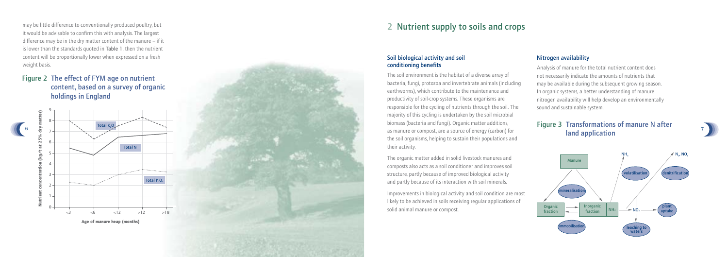may be little difference to conventionally produced poultry, but it would be advisable to confirm this with analysis. The largest difference may be in the dry matter content of the manure – if it is lower than the standards quoted in Table 1, then the nutrient content will be proportionally lower when expressed on a fresh weight basis.

6

## Figure 2 The effect of FYM age on nutrient content, based on a survey of organic holdings in England







#### Soil biological activity and soil conditioning benefits

The soil environment is the habitat of a diverse array of bacteria, fungi, protozoa and invertebrate animals (including earthworms), which contribute to the maintenance and productivity of soil-crop systems. These organisms are responsible for the cycling of nutrients through the soil. The majority of this cycling is undertaken by the soil microbial biomass (bacteria and fungi). Organic matter additions, as manure or compost, are a source of energy (carbon) for the soil organisms, helping to sustain their populations and their activity.

The organic matter added in solid livestock manures and composts also acts as a soil conditioner and improves soil structure, partly because of improved biological activity and partly because of its interaction with soil minerals.

Improvements in biological activity and soil condition are most likely to be achieved in soils receiving regular applications of solid animal manure or compost.

### Nitrogen availability

Analysis of manure for the total nutrient content does not necessarily indicate the amounts of nutrients that may be available during the subsequent growing season. In organic systems, a better understanding of manure nitrogen availability will help develop an environmentally sound and sustainable system.

## 2 Nutrient supply to soils and crops

## Figure 3 Transformations of manure N after land application

Organic

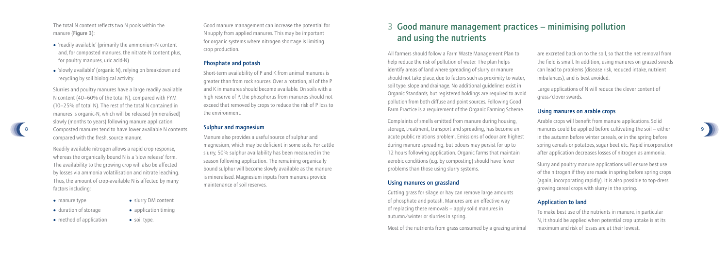8

- 
- duration of storage application timing
- method of application soil type.

The total N content reflects two N pools within the manure (Figure 3):

- 'readily available' (primarily the ammonium-N content and, for composted manures, the nitrate-N content plus, for poultry manures, uric acid-N)
- 'slowly available' (organic N), relying on breakdown and recycling by soil biological activity.

Slurries and poultry manures have a large readily available N content (40–60% of the total N), compared with FYM (10–25% of total N). The rest of the total N contained in manures is organic-N, which will be released (mineralised) slowly (months to years) following manure application. Composted manures tend to have lower available N contents compared with the fresh, source manure.

Readily available nitrogen allows a rapid crop response, whereas the organically bound N is a 'slow release' form. The availability to the growing crop will also be affected by losses via ammonia volatilisation and nitrate leaching. Thus, the amount of crop-available N is affected by many factors including:

• manure type • slurry DM content

Good manure management can increase the potential for N supply from applied manures. This may be important for organic systems where nitrogen shortage is limiting crop production.

#### Phosphate and potash

Short-term availability of P and K from animal manures is greater than from rock sources. Over a rotation, all of the P and K in manures should become available. On soils with a high reserve of P, the phosphorus from manures should not exceed that removed by crops to reduce the risk of P loss to the environment.

#### Sulphur and magnesium

Manure also provides a useful source of sulphur and magnesium, which may be deficient in some soils. For cattle slurry, 50% sulphur availability has been measured in the season following application. The remaining organically bound sulphur will become slowly available as the manure is mineralised. Magnesium inputs from manures provide maintenance of soil reserves.



All farmers should follow a Farm Waste Management Plan to help reduce the risk of pollution of water. The plan helps identify areas of land where spreading of slurry or manure should not take place, due to factors such as proximity to water, soil type, slope and drainage. No additional guidelines exist in Organic Standards, but registered holdings are required to avoid pollution from both diffuse and point sources. Following Good Farm Practice is a requirement of the Organic Farming Scheme.

Complaints of smells emitted from manure during housing, storage, treatment, transport and spreading, has become an acute public relations problem. Emissions of odour are highest during manure spreading, but odours may persist for up to 12 hours following application. Organic farms that maintain aerobic conditions (e.g. by composting) should have fewer problems than those using slurry systems.

### Using manures on grassland

Cutting grass for silage or hay can remove large amounts of phosphate and potash. Manures are an effective way of replacing these removals – apply solid manures in autumn/winter or slurries in spring.

Most of the nutrients from grass consumed by a grazing animal

are excreted back on to the soil, so that the net removal from the field is small. In addition, using manures on grazed swards can lead to problems (disease risk, reduced intake, nutrient imbalances), and is best avoided.

Large applications of N will reduce the clover content of grass/clover swards.

#### Using manures on arable crops

Arable crops will benefit from manure applications. Solid manures could be applied before cultivating the soil – either in the autumn before winter cereals, or in the spring before spring cereals or potatoes, sugar beet etc. Rapid incorporation after application decreases losses of nitrogen as ammonia.

Slurry and poultry manure applications will ensure best use of the nitrogen if they are made in spring before spring crops (again, incorporating rapidly). It is also possible to top-dress growing cereal crops with slurry in the spring.

### Application to land

To make best use of the nutrients in manure, in particular N, it should be applied when potential crop uptake is at its maximum and risk of losses are at their lowest.

## 3 Good manure management practices – minimising pollution and using the nutrients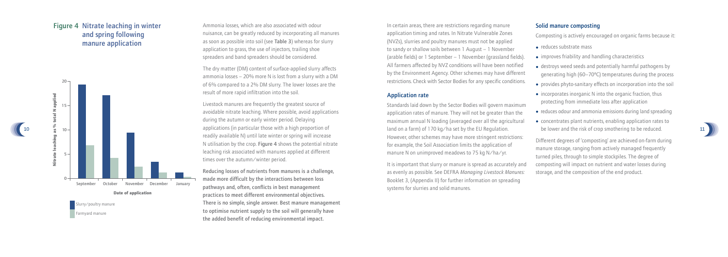Ammonia losses, which are also associated with odour nuisance, can be greatly reduced by incorporating all manures as soon as possible into soil (see Table 3) whereas for slurry application to grass, the use of injectors, trailing shoe spreaders and band spreaders should be considered.

The dry matter (DM) content of surface-applied slurry affects ammonia losses – 20% more N is lost from a slurry with a DM of 6% compared to a 2% DM slurry. The lower losses are the result of more rapid infiltration into the soil.

Livestock manures are frequently the greatest source of avoidable nitrate leaching. Where possible, avoid applications during the autumn or early winter period. Delaying applications (in particular those with a high proportion of readily available N) until late winter or spring will increase N utilisation by the crop. Figure 4 shows the potential nitrate leaching risk associated with manures applied at different times over the autumn/winter period.

Slurry/poultry manure Farmyard manure

Reducing losses of nutrients from manures is a challenge, made more difficult by the interactions between loss pathways and, often, conflicts in best management practices to meet different environmental objectives. There is no simple, single answer. Best manure management to optimise nutrient supply to the soil will generally have the added benefit of reducing environmental impact.

10

## Figure 4 Nitrate leaching in winter and spring following manure application



**Date of application**



In certain areas, there are restrictions regarding manure application timing and rates. In Nitrate Vulnerable Zones (NVZs), slurries and poultry manures must not be applied to sandy or shallow soils between 1 August – 1 November (arable fields) or 1 September – 1 November (grassland fields). All farmers affected by NVZ conditions will have been notified by the Environment Agency. Other schemes may have different restrictions. Check with Sector Bodies for any specific conditions.

#### Application rate

Standards laid down by the Sector Bodies will govern maximum application rates of manure. They will not be greater than the maximum annual N loading (averaged over all the agricultural land on a farm) of 170 kg/ha set by the EU Regulation. However, other schemes may have more stringent restrictions: for example, the Soil Association limits the application of manure N on unimproved meadows to 75 kg N/ha/yr.

It is important that slurry or manure is spread as accurately and as evenly as possible. See DEFRA *Managing Livestock Manures:* Booklet 3, (Appendix II) for further information on spreading systems for slurries and solid manures.

#### Solid manure composting

- Composting is actively encouraged on organic farms because it:
- reduces substrate mass
- improves friability and handling characteristics
- destroys weed seeds and potentially harmful pathogens by generating high (60–70ºC) temperatures during the process
- provides phyto-sanitary effects on incorporation into the soil
- reduces odour and ammonia emissions during land spreading
- 
- 
- 
- 
- incorporates inorganic N into the organic fraction, thus protecting from immediate loss after application
- 
- concentrates plant nutrients, enabling application rates to be lower and the risk of crop smothering to be reduced.
- 

Different degrees of 'composting' are achieved on-farm during manure storage, ranging from actively managed frequently turned piles, through to simple stockpiles. The degree of composting will impact on nutrient and water losses during storage, and the composition of the end product.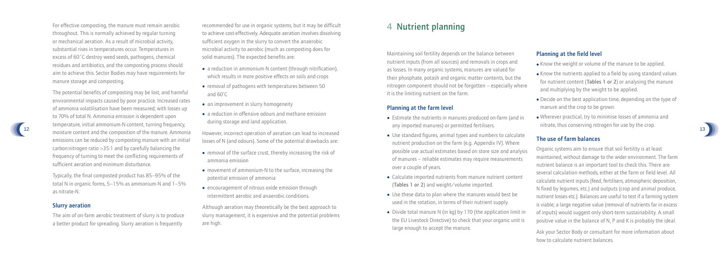12

For effective composting, the manure must remain aerobic throughout. This is normally achieved by regular turning or mechanical aeration. As a result of microbial activity, substantial rises in temperatures occur. Temperatures in excess of 60˚C destroy weed seeds, pathogens, chemical residues and antibiotics, and the composting process should aim to achieve this. Sector Bodies may have requirements for manure storage and composting.

The potential benefits of composting may be lost, and harmful environmental impacts caused by poor practice. Increased rates of ammonia volatilisation have been measured, with losses up to 70% of total N. Ammonia emission is dependent upon temperature, initial ammonium-N content, turning frequency, moisture content and the composition of the manure. Ammonia emissions can be reduced by composting manure with an initial carbon:nitrogen ratio >35:1 and by carefully balancing the frequency of turning to meet the conflicting requirements of sufficient aeration and minimum disturbance.

- a reduction in ammonium-N content (through nitrification), which results in more positive effects on soils and crops
- removal of pathogens with temperatures between 50 and 60˚C
- an improvement in slurry homogeneity
- a reduction in offensive odours and methane emission during storage and land application.

Typically, the final composted product has 85–95% of the total N in organic forms, 5–15% as ammonium-N and 1–5% as nitrate-N.

#### Slurry aeration

The aim of on-farm aerobic treatment of slurry is to produce a better product for spreading. Slurry aeration is frequently

recommended for use in organic systems, but it may be difficult to achieve cost-effectively. Adequate aeration involves dissolving sufficient oxygen in the slurry to convert the anaerobic microbial activity to aerobic (much as composting does for solid manures). The expected benefits are:

However, incorrect operation of aeration can lead to increased losses of N (and odours). Some of the potential drawbacks are:

- removal of the surface crust, thereby increasing the risk of ammonia emission
- movement of ammonium-N to the surface, increasing the potential emission of ammonia
- encouragement of nitrous oxide emission through intermittent aerobic and anaerobic conditions.

Although aeration may theoretically be the best approach to slurry management, it is expensive and the potential problems are high.



Maintaining soil fertility depends on the balance between nutrient inputs (from all sources) and removals in crops and as losses. In many organic systems, manures are valued for their phosphate, potash and organic matter contents, but the nitrogen component should not be forgotten – especially where it is the limiting nutrient on the farm.

#### Planning at the farm level

- Estimate the nutrients in manures produced on-farm (and in any imported manures) or permitted fertilisers.
- Use standard figures, animal types and numbers to calculate nutrient production on the farm (e.g. Appendix IV). Where possible use actual estimates based on store size and analysis of manures – reliable estimates may require measurements over a couple of years.
- Calculate imported nutrients from manure nutrient content (Tables 1 or 2) and weight/volume imported.
- Use these data to plan where the manures would best be used in the rotation, in terms of their nutrient supply.
- Divide total manure N (in kg) by 170 (the application limit in the EU Livestock Directive) to check that your organic unit is large enough to accept the manure.

- 
- 
- 

#### Planning at the field level

• Know the weight or volume of the manure to be applied.

• Know the nutrients applied to a field by using standard values for nutrient content (Tables 1 or 2) or analysing the manure and multiplying by the weight to be applied.

• Decide on the best application time, depending on the type of manure and the crop to be grown.

• Wherever practical, try to minimise losses of ammonia and nitrate, thus conserving nitrogen for use by the crop.

### The use of farm balances

Organic systems aim to ensure that soil fertility is at least maintained, without damage to the wider environment. The farm nutrient balance is an important tool to check this. There are several calculation methods, either at the farm or field level. All calculate nutrient inputs (feed, fertilisers, atmospheric deposition, N fixed by legumes, etc.) and outputs (crop and animal produce, nutrient losses etc.). Balances are useful to test if a farming system is viable; a large negative value (removal of nutrients far in excess of inputs) would suggest only short-term sustainability. A small positive value in the balance of N, P and K is probably the ideal.

Ask your Sector Body or consultant for more information about how to calculate nutrient balances.

## 4 Nutrient planning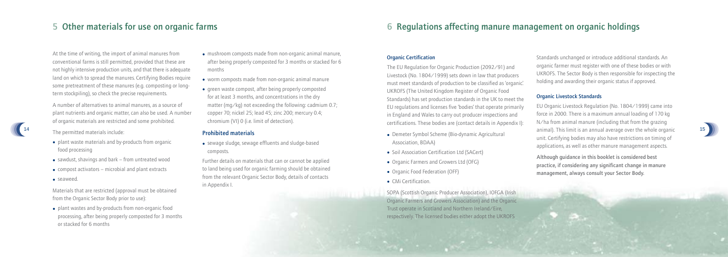At the time of writing, the import of animal manures from conventional farms is still permitted, provided that these are not highly intensive production units, and that there is adequate land on which to spread the manures. Certifying Bodies require some pretreatment of these manures (e.g. composting or longterm stockpiling), so check the precise requirements.

A number of alternatives to animal manures, as a source of plant nutrients and organic matter, can also be used. A number of organic materials are restricted and some prohibited.

- 14
- The permitted materials include:
- plant waste materials and by-products from organic food processing
- sawdust, shavings and bark from untreated wood
- compost activators microbial and plant extracts
- seaweed.

Materials that are restricted (approval must be obtained from the Organic Sector Body prior to use):

• plant wastes and by-products from non-organic food processing, after being properly composted for 3 months or stacked for 6 months

- mushroom composts made from non-organic animal manure, after being properly composted for 3 months or stacked for 6 months
- worm composts made from non-organic animal manure
- green waste compost, after being properly composted for at least 3 months, and concentrations in the dry matter (mg/kg) not exceeding the following: cadmium 0.7; copper 70; nickel 25; lead 45; zinc 200; mercury 0.4; chromium (VI) 0 (i.e. limit of detection).

#### Prohibited materials

• sewage sludge, sewage effluents and sludge-based composts.

Further details on materials that can or cannot be applied to land being used for organic farming should be obtained from the relevant Organic Sector Body, details of contacts in Appendix I.

## 5 Other materials for use on organic farms



#### Organic Certification

The EU Regulation for Organic Production (2092/91) and Livestock (No. 1804/1999) sets down in law that producers must meet standards of production to be classified as 'organic'. UKROFS (The United Kingdom Register of Organic Food Standards) has set production standards in the UK to meet the EU regulations and licenses five 'bodies' that operate primarily in England and Wales to carry out producer inspections and certifications. These bodies are (contact details in Appendix I):

- Demeter Symbol Scheme (Bio-dynamic Agricultural Association, BDAA)
- Soil Association Certification Ltd (SACert)
- Organic Farmers and Growers Ltd (OFG)
- Organic Food Federation (OFF)
- CMi Certification.

SOPA (Scottish Organic Producer Association), IOFGA (Irish Organic Farmers and Growers Association) and the Organic Trust operate in Scotland and Northern Ireland/Eire, respectively. The licensed bodies either adopt the UKROFS

Standards unchanged or introduce additional standards. An organic farmer must register with one of these bodies or with UKROFS. The Sector Body is then responsible for inspecting the holding and awarding their organic status if approved.

#### Organic Livestock Standards

EU Organic Livestock Regulation (No. 1804/1999) came into force in 2000. There is a maximum annual loading of 170 kg N/ha from animal manure (including that from the grazing animal). This limit is an annual average over the whole organic unit. Certifying bodies may also have restrictions on timing of applications, as well as other manure management aspects.

Although guidance in this booklet is considered best practice, if considering any significant change in manure management, always consult your Sector Body.

## 6 Regulations affecting manure management on organic holdings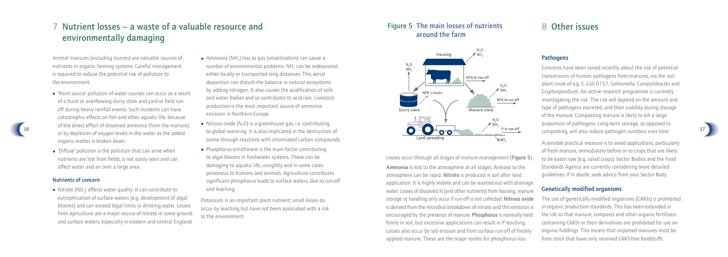### **Pathogens**

Animal manures (including slurries) are valuable sources of nutrients in organic farming systems. Careful management is required to reduce the potential risk of pollution to the environment:

- 'Point source' pollution of water courses can occur as a result of a burst or overflowing slurry store and yard or field runoff during heavy rainfall events. Such incidents can have catastrophic effects on fish and other aquatic life, because of the direct effect of dissolved ammonia (from the manure), or by depletion of oxygen levels in the water as the added organic matter is broken down.
- 'Diffuse' pollution is the pollution that can arise when nutrients are lost from fields, is not easily seen and can affect water and air over a large area.

• Nitrate  $(NO_3)$  affects water quality. It can contribute to eutrophication of surface waters (e.g. development of algal blooms) and can exceed legal limits in drinking water. Losses from agriculture are a major source of nitrate in some ground and surface waters, especially in eastern and central England.

#### Nutrients of concern

- Ammonia (NH<sub>3</sub>) loss as gas (volatilisation) can cause a number of environmental problems. NH<sub>3</sub> can be redeposited either locally or transported long distances. This aerial deposition can disturb the balance in natural ecosystems by adding nitrogen. It also causes the acidification of soils and water bodies and so contributes to acid rain. Livestock production is the most important source of ammonia emission in Northern Europe.
- Nitrous oxide  $(N,0)$  is a greenhouse gas, i.e. contributing to global warming. It is also implicated in the destruction of ozone through reactions with chlorinated carbon compounds.
- Phosphorus enrichment is the main factor contributing to algal blooms in freshwater systems. These can be damaging to aquatic life, unsightly and in some cases poisonous to humans and animals. Agriculture contributes significant phosphorus loads to surface waters, due to run-off and leaching.

## Figure 5 The main losses of nutrients 8 Other issues around the farm



Potassium is an important plant nutrient; small losses do occur by leaching but have not been associated with a risk to the environment.

## 7 Nutrient losses – a waste of a valuable resource and environmentally damaging



Losses occur through all stages of manure management (Figure 5).

Ammonia is lost to the atmosphere at all stages. Release to the atmosphere can be rapid. Nitrate is produced in soil after land application. It is highly mobile and can be washed out with drainage water. Losses of dissolved N (and other nutrients) from housing, manure storage or handling only occur if run-off is not collected. Nitrous oxide is derived from the microbial breakdown of nitrate and this emission is encouraged by the presence of manure. Phosphorus is normally held firmly in soil, but excessive applications can result in P leaching. Losses also occur by soil erosion and from surface run-off of freshly applied manure. These are the major routes for phosphorus loss.

Concerns have been raised recently about the risk of potential transmission of human pathogens from manures, via the soilplant route of e.g. E. Coli O157, Salmonella, Campylobacter and Cryptosporidium. An active research programme is currently investigating the risk. The risk will depend on the amount and type of pathogens excreted, and their viability during storage of the manure. Composting manure is likely to kill a large proportion of pathogens. Long-term storage, as opposed to composting, will also reduce pathogen numbers over time.

A sensible practical measure is to avoid applications, particularly of fresh manure, immediately before or to crops that are likely to be eaten raw (e.g. salad crops). Sector Bodies and the Food Standards Agency are currently considering more detailed guidelines. If in doubt, seek advice from your Sector Body.

### Genetically modified organisms

The use of genetically modified organisms (GMOs) is prohibited in organic production standards. This has been extended in the UK so that manure, composts and other organic fertilisers containing GMOs or their derivatives are prohibited for use on organic holdings. This means that imported manures must be from stock that have only received GMO-free foodstuffs.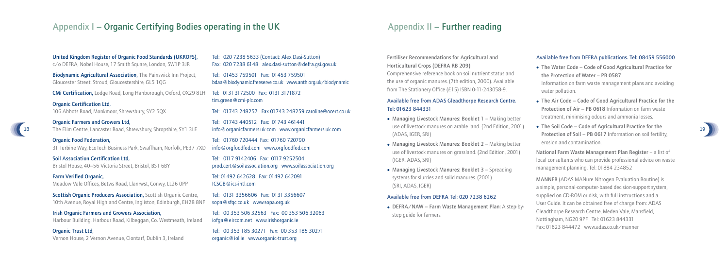

Tel: 020 7238 5633 (Contact: Alex Dasi-Sutton) Fax: 020 7238 6148 alex.dasi-sutton@defra.gsi.gov.uk

Tel: 01453 759501 Fax: 01453 759501 bdaa@biodynamic.freeserve.co.uk www.anth.org.uk/biodynamic

Tel: 0131 3172500 Fax: 0131 3171872 tim.green@cmi-plc.com

Tel: 01743 248257 Fax 01743 248259 caroline@ocert.co.uk

Tel: 01743 440512 Fax: 01743 461441 info@organicfarmers.uk.com www.organicfarmers.uk.com

Tel: 01760 720444 Fax: 01760 720790 info@orgfoodfed.com www.orgfoodfed.com

Tel: 0117 9142406 Fax: 0117 9252504 prod.cert@soilassociation.org www.soilassociation.org

Biodynamic Agricultural Association, The Painswick Inn Project, Gloucester Street, Stroud, Gloucestershire, GL5 1QG

> Tel: 01492 642628 Fax: 01492 642091 ICSGB@ics-intl.com

Tel: 0131 3356606 Fax: 0131 3356607 sopa@sfqc.co.uk www.sopa.org.uk

Tel: 00 353 506 32563 Fax: 00 353 506 32063 iofga@eircom.net www.irishorganic.ie

Tel: 00 353 185 30271 Fax: 00 353 185 30271 organic@iol.ie www.organic-trust.org

Scottish Organic Producers Association, Scottish Organic Centre, 10th Avenue, Royal Highland Centre, Ingliston, Edinburgh, EH28 8NF

#### United Kingdom Register of Organic Food Standards (UKROFS),

c/o DEFRA, Nobel House, 17 Smith Square, London, SW1P 3JR

CMi Certification, Lodge Road, Long Hanborough, Oxford, OX29 8LH

Organic Certification Ltd, 106 Abbots Road, Monkmoor, Shrewsbury, SY2 5QX

Organic Farmers and Growers Ltd, The Elim Centre, Lancaster Road, Shrewsbury, Shropshire, SY1 3LE

#### Organic Food Federation,

- Managing Livestock Manures: Booklet 1 Making better use of livestock manures on arable land. (2nd Edition, 2001) (ADAS, IGER, SRI)
- Managing Livestock Manures: Booklet 2 Making better use of livestock manures on grassland. (2nd Edition, 2001) (IGER, ADAS, SRI)
- Managing Livestock Manures: Booklet 3 Spreading systems for slurries and solid manures. (2001) (SRI, ADAS, IGER)

31 Turbine Way, EcoTech Business Park, Swaffham, Norfolk, PE37 7XD

Soil Association Certification Ltd, Bristol House, 40–56 Victoria Street, Bristol, BS1 6BY

Farm Verified Organic, Meadow Vale Offices, Betws Road, Llanrwst, Conwy, LL26 0PP

Irish Organic Farmers and Growers Association, Harbour Building, Harbour Road, Kilbeggan, Co. Westmeath, Ireland

Organic Trust Ltd, Vernon House, 2 Vernon Avenue, Clontarf, Dublin 3, Ireland

## Appendix I – Organic Certifying Bodies operating in the UK



Fertiliser Recommendations for Agricultural and Horticultural Crops (DEFRA RB 209)

Comprehensive reference book on soil nutrient status and the use of organic manures. (7th edition, 2000). Available from The Stationery Office (£15) ISBN 0-11-243058-9.

### Available free from ADAS Gleadthorpe Research Centre. Tel: 01623 844331

#### Available free from DEFRA Tel: 020 7238 6262

• DEFRA/NAW – Farm Waste Management Plan: A step-bystep guide for farmers.

#### Available free from DEFRA publications. Tel: 08459 556000

• The Water Code – Code of Good Agricultural Practice for the Protection of Water – PB 0587

Information on farm waste management plans and avoiding water pollution.

• The Air Code – Code of Good Agricultural Practice for the Protection of Air – PB 0618 Information on farm waste treatment, minimising odours and ammonia losses.

• The Soil Code – Code of Agricultural Practice for the Protection of Soil – PB 0617 Information on soil fertility, erosion and contamination.

National Farm Waste Management Plan Register – a list of local consultants who can provide professional advice on waste management planning. Tel: 01884 234852

MANNER (ADAS MANure Nitrogen Evaluation Routine) is a simple, personal-computer-based decision-support system, supplied on CD-ROM or disk, with full instructions and a User Guide. It can be obtained free of charge from: ADAS Gleadthorpe Research Centre, Meden Vale, Mansfield, Nottingham, NG20 9PF Tel: 01623 844331 Fax: 01623 844472 www.adas.co.uk/manner

## Appendix II – Further reading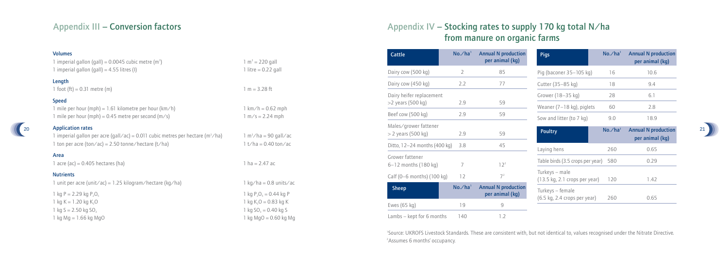#### Volumes 1 imperial gallon (gall) =  $0.0045$  cubic metre (m<sup>3</sup> ) 1 m  $1 \text{ m}^3 = 220 \text{ gall}$ 1 imperial gallon (gall) =  $4.55$  litres (I) 1 litre = 0.22 gall Length 1 foot (ft) = 0.31 metre (m) 1 m = 3.28 ft Speed 1 mile per hour (mph) = 1.61 kilometre per hour (km/h) 1 km/h =  $0.62$  mph 1 mile per hour (mph) =  $0.45$  metre per second (m/s) 1 m/s =  $2.24$  mph Application rates 1 imperial gallon per acre (gall/ac) = 0.011 cubic metres per hectare ( $m^3/ha$ ) 1 m 3 /ha = 90 gall/ac 1 ton per acre (ton/ac) = 2.50 tonne/hectare (t/ha) 1 t/ha = 0.40 ton/ac Area 1  $\text{acre}$  (ac) = 0.405 hectares (ha) 1 ha = 2.47 ac Nutrients 1 unit per acre (unit/ac) = 1.25 kilogram/hectare (kg/ha) 1 kg/ha = 0.8 units/ac 1 kg P = 2.29 kg  $P_2O$  $\frac{1}{1}$  kg P  $_{2}O_{5} = 0.44$  kg P 1 kg K = 1.20 kg K<sub>2</sub>O  $\sim$  1 kg K 1 kg K<sub>2</sub>O = 0.83 kg K 1 kg  $S = 2.50$  kg  $SO_3$  $\frac{3}{3}$  1 kg SO 1 kg  $SO_3 = 0.40$  kg S 1 kg Mg = 1.66 kg MgO 1 kg Mg + 1.66 kg Mg + 1.66 kg Mg + 1.66 kg Mg + 1.66 kg Mg + 1.66 kg Mg + 1.66 kg Mg + 1

## Appendix III – Conversion factors

 $\sqrt{20}$ 



## Appendix IV – Stocking rates to supply 170 kg total N/ha from manure on organic farms

| Cattle                                        | No./ha'        | <b>Annual N production</b><br>per animal (kg) | Pigs                                                              | No./ha' | <b>Annual N</b> production<br>per animal (kg) |
|-----------------------------------------------|----------------|-----------------------------------------------|-------------------------------------------------------------------|---------|-----------------------------------------------|
| Dairy cow (500 kg)                            | $\overline{2}$ | 85                                            | Pig (baconer 35-105 kg)                                           | 16      | 10.6                                          |
| Dairy cow (450 kg)                            | 2.2            | 77                                            | Cutter (35–85 kg)                                                 | 18      | 9.4                                           |
| Dairy heifer replacement                      |                |                                               | Grower (18-35 kg)                                                 | 28      | 6.1                                           |
| $>2$ years (500 kg)                           | 2.9            | 59                                            | Weaner (7-18 kg), piglets                                         | 60      | 2.8                                           |
| Beef cow (500 kg)                             | 2.9            | 59                                            | Sow and litter (to 7 kg)                                          | 9.0     | 18.9                                          |
| Males/grower fattener<br>$>$ 2 years (500 kg) | 2.9            | 59                                            | Poultry                                                           | No./ha' | <b>Annual N production</b><br>per animal (kg) |
| Ditto, 12-24 months (400 kg)                  | 3.8            | 45                                            | Laying hens                                                       | 260     | 0.65                                          |
| Grower fattener<br>$6 - 12$ months (180 kg)   | $\overline{7}$ | $12^{2}$                                      | Table birds (3.5 crops per year)                                  | 580     | 0.29                                          |
| Calf (0-6 months) (100 kg)                    | 12             | 7 <sup>2</sup>                                | Turkeys - male<br>$(13.5 \text{ kg}, 2.1 \text{ crops per year})$ | 120     | 1.42                                          |
| Sheep                                         | No./ha'        | <b>Annual N production</b><br>per animal (kg) | Turkeys - female<br>(6.5 kg, 2.4 crops per year)                  | 260     | 0.65                                          |
| Ewes (65 kg)                                  | 19             | 9                                             |                                                                   |         |                                               |
| Lambs $-$ kept for 6 months                   | 140            | 1.2                                           |                                                                   |         |                                               |

1 Source: UKROFS Livestock Standards. These are consistent with, but not identical to, values recognised under the Nitrate Directive. 2 Assumes 6 months' occupancy.